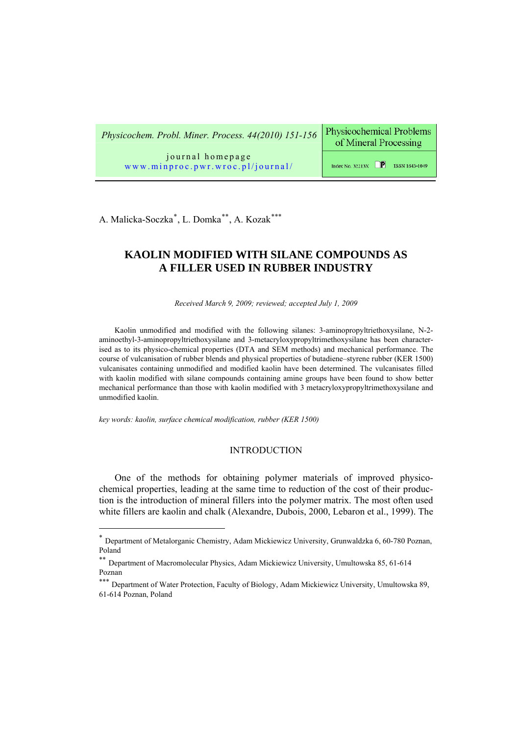**Physicochemical Problems** *Physicochem. Probl. Miner. Process. 44(2010) 151-156*  of Mineral Processing journal homepage Index No. 32213X  $\Box$  ISSN 1643-1049 [www.minproc.pwr.wroc.pl/journal/](http://www.minproc.pwr.wroc.pl/journal/)

A. Malicka-Soczka<sup>\*</sup>, L. Domka<sup>\*\*</sup>, A. Kozak<sup>\*\*\*</sup>

# **KAOLIN MODIFIED WITH SILANE COMPOUNDS AS A FILLER USED IN RUBBER INDUSTRY**

*Received March 9, 2009; reviewed; accepted July 1, 2009*

Kaolin unmodified and modified with the following silanes: 3-aminopropyltriethoxysilane, N-2 aminoethyl-3-aminopropyltriethoxysilane and 3-metacryloxypropyltrimethoxysilane has been characterised as to its physico-chemical properties (DTA and SEM methods) and mechanical performance. The course of vulcanisation of rubber blends and physical properties of butadiene–styrene rubber (KER 1500) vulcanisates containing unmodified and modified kaolin have been determined. The vulcanisates filled with kaolin modified with silane compounds containing amine groups have been found to show better mechanical performance than those with kaolin modified with 3 metacryloxypropyltrimethoxysilane and unmodified kaolin.

*key words: kaolin, surface chemical modification, rubber (KER 1500)* 

 $\overline{a}$ 

# INTRODUCTION

One of the methods for obtaining polymer materials of improved physicochemical properties, leading at the same time to reduction of the cost of their production is the introduction of mineral fillers into the polymer matrix. The most often used white fillers are kaolin and chalk (Alexandre, Dubois, 2000, Lebaron et al., 1999). The

<span id="page-0-0"></span><sup>∗</sup> Department of Metalorganic Chemistry, Adam Mickiewicz University, Grunwaldzka 6, 60-780 Poznan, Poland

<span id="page-0-1"></span><sup>∗∗</sup> Department of Macromolecular Physics, Adam Mickiewicz University, Umultowska 85, 61-614 Poznan

<span id="page-0-2"></span><sup>∗∗∗</sup> Department of Water Protection, Faculty of Biology, Adam Mickiewicz University, Umultowska 89, 61-614 Poznan, Poland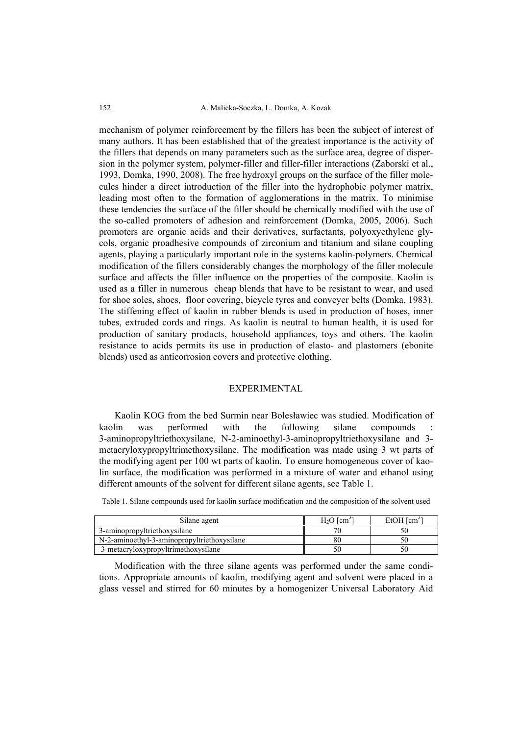152 A. Malicka-Soczka, L. Domka, A. Kozak

mechanism of polymer reinforcement by the fillers has been the subject of interest of many authors. It has been established that of the greatest importance is the activity of the fillers that depends on many parameters such as the surface area, degree of dispersion in the polymer system, polymer-filler and filler-filler interactions (Zaborski et al., 1993, Domka, 1990, 2008). The free hydroxyl groups on the surface of the filler molecules hinder a direct introduction of the filler into the hydrophobic polymer matrix, leading most often to the formation of agglomerations in the matrix. To minimise these tendencies the surface of the filler should be chemically modified with the use of the so-called promoters of adhesion and reinforcement (Domka, 2005, 2006). Such promoters are organic acids and their derivatives, surfactants, polyoxyethylene glycols, organic proadhesive compounds of zirconium and titanium and silane coupling agents, playing a particularly important role in the systems kaolin-polymers. Chemical modification of the fillers considerably changes the morphology of the filler molecule surface and affects the filler influence on the properties of the composite. Kaolin is used as a filler in numerous cheap blends that have to be resistant to wear, and used for shoe soles, shoes, floor covering, bicycle tyres and conveyer belts (Domka, 1983). The stiffening effect of kaolin in rubber blends is used in production of hoses, inner tubes, extruded cords and rings. As kaolin is neutral to human health, it is used for production of sanitary products, household appliances, toys and others. The kaolin resistance to acids permits its use in production of elasto- and plastomers (ebonite blends) used as anticorrosion covers and protective clothing.

# EXPERIMENTAL

Kaolin KOG from the bed Surmin near Bolesławiec was studied. Modification of kaolin was performed with the following silane compounds : 3-aminopropyltriethoxysilane, N-2-aminoethyl-3-aminopropyltriethoxysilane and 3 metacryloxypropyltrimethoxysilane. The modification was made using 3 wt parts of the modifying agent per 100 wt parts of kaolin. To ensure homogeneous cover of kaolin surface, the modification was performed in a mixture of water and ethanol using different amounts of the solvent for different silane agents, see Table 1.

Table 1. Silane compounds used for kaolin surface modification and the composition of the solvent used

| Silane agent                                | $H2O$ $\mathrm{[cm]}$ | $EtOH$ $\text{[cm]}$ |
|---------------------------------------------|-----------------------|----------------------|
| 3-aminopropyltriethoxysilane                |                       |                      |
| N-2-aminoethyl-3-aminopropyltriethoxysilane | ðΨ                    |                      |
| 3-metacryloxypropyltrimethoxysilane         |                       | 50                   |

Modification with the three silane agents was performed under the same conditions. Appropriate amounts of kaolin, modifying agent and solvent were placed in a glass vessel and stirred for 60 minutes by a homogenizer Universal Laboratory Aid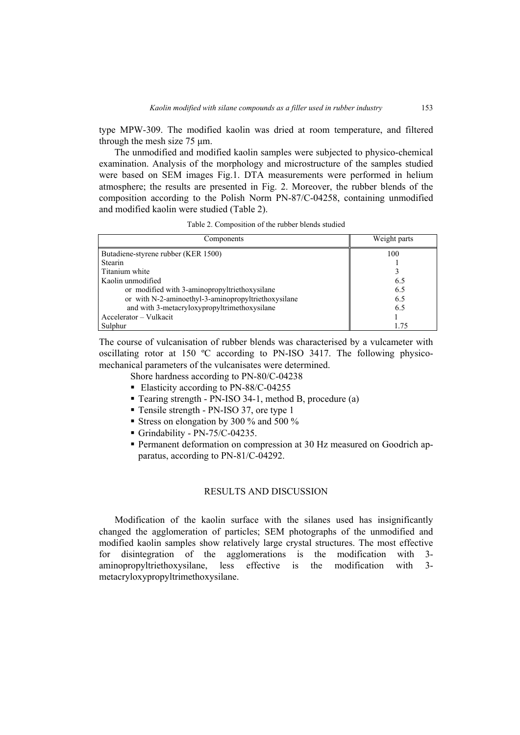type MPW-309. The modified kaolin was dried at room temperature, and filtered through the mesh size 75 μm.

The unmodified and modified kaolin samples were subjected to physico-chemical examination. Analysis of the morphology and microstructure of the samples studied were based on SEM images Fig.1. DTA measurements were performed in helium atmosphere; the results are presented in Fig. 2. Moreover, the rubber blends of the composition according to the Polish Norm PN-87/C-04258, containing unmodified and modified kaolin were studied (Table 2).

Table 2. Composition of the rubber blends studied

| Components                                          | Weight parts |
|-----------------------------------------------------|--------------|
| Butadiene-styrene rubber (KER 1500)                 | 100          |
| <b>Stearin</b>                                      |              |
| Titanium white                                      |              |
| Kaolin unmodified                                   | 6.5          |
| or modified with 3-aminopropyltriethoxysilane       | 6.5          |
| or with N-2-aminoethyl-3-aminopropyltriethoxysilane | 6.5          |
| and with 3-metacryloxypropyltrimethoxysilane        | 6.5          |
| Accelerator – Vulkacit                              |              |
| Sulphur                                             | 1 75         |

The course of vulcanisation of rubber blends was characterised by a vulcameter with oscillating rotor at 150 ºC according to PN-ISO 3417. The following physicomechanical parameters of the vulcanisates were determined.

Shore hardness according to PN-80/C-04238

- Elasticity according to PN-88/C-04255
- Tearing strength PN-ISO 34-1, method B, procedure (a)
- Tensile strength PN-ISO 37, ore type 1
- Stress on elongation by 300 % and 500 %
- Grindability PN-75/C-04235.
- Permanent deformation on compression at 30 Hz measured on Goodrich apparatus, according to PN-81/C-04292.

### RESULTS AND DISCUSSION

Modification of the kaolin surface with the silanes used has insignificantly changed the agglomeration of particles; SEM photographs of the unmodified and modified kaolin samples show relatively large crystal structures. The most effective for disintegration of the agglomerations is the modification with 3 aminopropyltriethoxysilane, less effective is the modification with 3 metacryloxypropyltrimethoxysilane.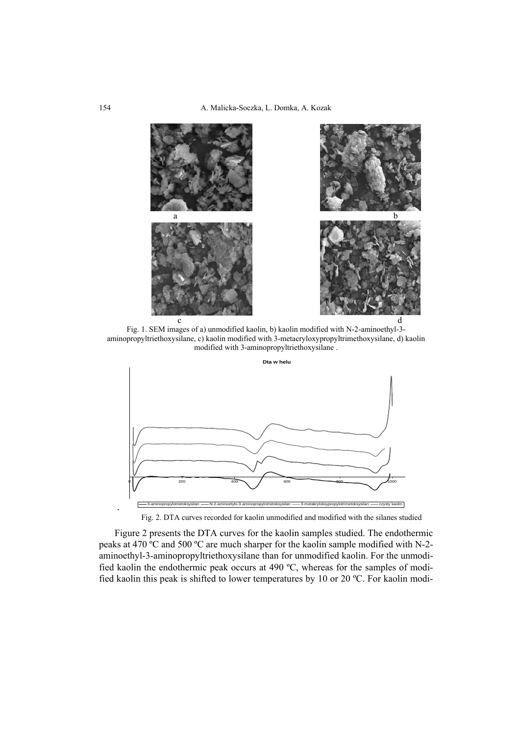

Fig. 1. SEM images of a) unmodified kaolin, b) kaolin modified with N-2-aminoethyl-3 aminopropyltriethoxysilane, c) kaolin modified with 3-metacryloxypropyltrimethoxysilane, d) kaolin modified with 3-aminopropyltriethoxysilane .



Fig. 2. DTA curves recorded for kaolin unmodified and modified with the silanes studied

Figure 2 presents the DTA curves for the kaolin samples studied. The endothermic peaks at 470 ºC and 500 ºC are much sharper for the kaolin sample modified with N-2 aminoethyl-3-aminopropyltriethoxysilane than for unmodified kaolin. For the unmodified kaolin the endothermic peak occurs at 490 ºC, whereas for the samples of modified kaolin this peak is shifted to lower temperatures by 10 or 20 ºC. For kaolin modi-

.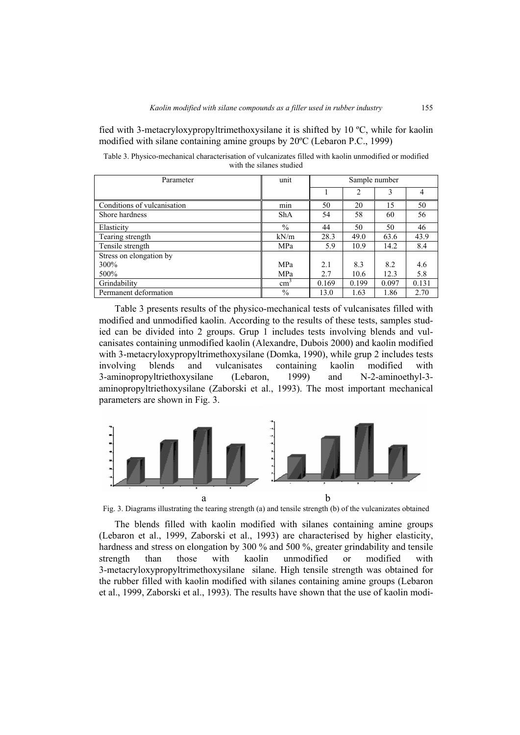fied with 3-metacryloxypropyltrimethoxysilane it is shifted by 10 ºC, while for kaolin modified with silane containing amine groups by 20ºC (Lebaron P.C., 1999)

Table 3. Physico-mechanical characterisation of vulcanizates filled with kaolin unmodified or modified with the silanes studied

| Parameter                   | unit          | Sample number |                |       |       |
|-----------------------------|---------------|---------------|----------------|-------|-------|
|                             |               |               | $\overline{c}$ | 3     | 4     |
| Conditions of vulcanisation | min           | 50            | 20             | 15    | 50    |
| Shore hardness              | <b>ShA</b>    | 54            | 58             | 60    | 56    |
| Elasticity                  | $\%$          | 44            | 50             | 50    | 46    |
| Tearing strength            | kN/m          | 28.3          | 49.0           | 63.6  | 43.9  |
| Tensile strength            | MPa           | 5.9           | 10.9           | 14.2  | 8.4   |
| Stress on elongation by     |               |               |                |       |       |
| 300%                        | MPa           | 2.1           | 8.3            | 8.2   | 4.6   |
| 500%                        | MPa           | 2.7           | 10.6           | 12.3  | 5.8   |
| Grindability                | $\text{cm}^3$ | 0.169         | 0.199          | 0.097 | 0.131 |
| Permanent deformation       | $\%$          | 13.0          | 1.63           | 1.86  | 2.70  |

Table 3 presents results of the physico-mechanical tests of vulcanisates filled with modified and unmodified kaolin. According to the results of these tests, samples studied can be divided into 2 groups. Grup 1 includes tests involving blends and vulcanisates containing unmodified kaolin (Alexandre, Dubois 2000) and kaolin modified with 3-metacryloxypropyltrimethoxysilane (Domka, 1990), while grup 2 includes tests involving blends and vulcanisates containing kaolin modified with 3-aminopropyltriethoxysilane (Lebaron, 1999) and N-2-aminoethyl-3 aminopropyltriethoxysilane (Zaborski et al., 1993). The most important mechanical parameters are shown in Fig. 3.



Fig. 3. Diagrams illustrating the tearing strength (a) and tensile strength (b) of the vulcanizates obtained

The blends filled with kaolin modified with silanes containing amine groups (Lebaron et al., 1999, Zaborski et al., 1993) are characterised by higher elasticity, hardness and stress on elongation by 300 % and 500 %, greater grindability and tensile strength than those with kaolin unmodified or modified with 3-metacryloxypropyltrimethoxysilane silane. High tensile strength was obtained for the rubber filled with kaolin modified with silanes containing amine groups (Lebaron et al., 1999, Zaborski et al., 1993). The results have shown that the use of kaolin modi